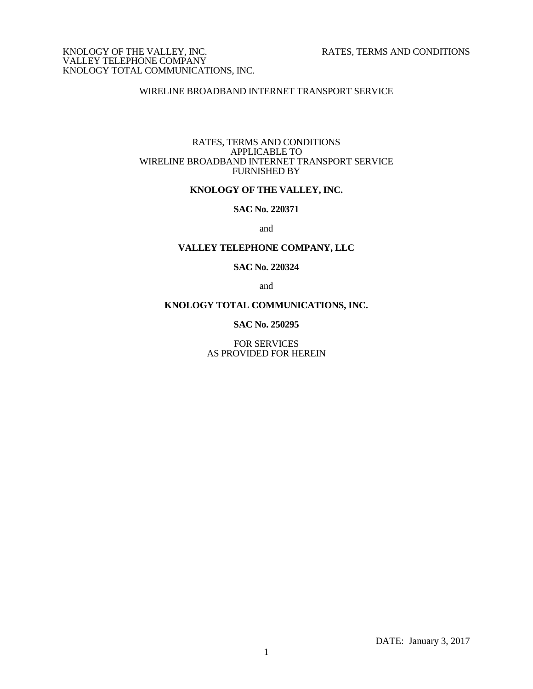# WIRELINE BROADBAND INTERNET TRANSPORT SERVICE

#### RATES, TERMS AND CONDITIONS APPLICABLE TO WIRELINE BROADBAND INTERNET TRANSPORT SERVICE FURNISHED BY

# **KNOLOGY OF THE VALLEY, INC.**

# **SAC No. 220371**

and

# **VALLEY TELEPHONE COMPANY, LLC**

#### **SAC No. 220324**

and

#### **KNOLOGY TOTAL COMMUNICATIONS, INC.**

**SAC No. 250295**

FOR SERVICES AS PROVIDED FOR HEREIN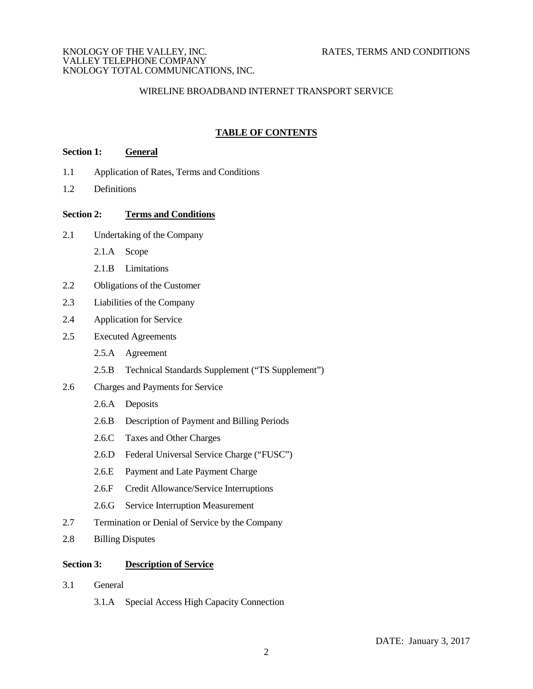# WIRELINE BROADBAND INTERNET TRANSPORT SERVICE

# **TABLE OF CONTENTS Section 1: General**

- 1.1 Application of Rates, Terms and Conditions
- 1.2 Definitions

# **Section 2: Terms and Conditions**

- 2.1 Undertaking of the Company
	- 2.1.A Scope
	- 2.1.B Limitations
- 2.2 Obligations of the Customer
- 2.3 Liabilities of the Company
- 2.4 Application for Service
- 2.5 Executed Agreements
	- 2.5.A Agreement
	- 2.5.B Technical Standards Supplement ("TS Supplement")
- 2.6 Charges and Payments for Service
	- 2.6.A Deposits
	- 2.6.B Description of Payment and Billing Periods
	- 2.6.C Taxes and Other Charges
	- 2.6.D Federal Universal Service Charge ("FUSC")
	- 2.6.E Payment and Late Payment Charge
	- 2.6.F Credit Allowance/Service Interruptions
	- 2.6.G Service Interruption Measurement
- 2.7 Termination or Denial of Service by the Company
- 2.8 Billing Disputes

# **Section 3: Description of Service**

- 3.1 General
	- 3.1.A Special Access High Capacity Connection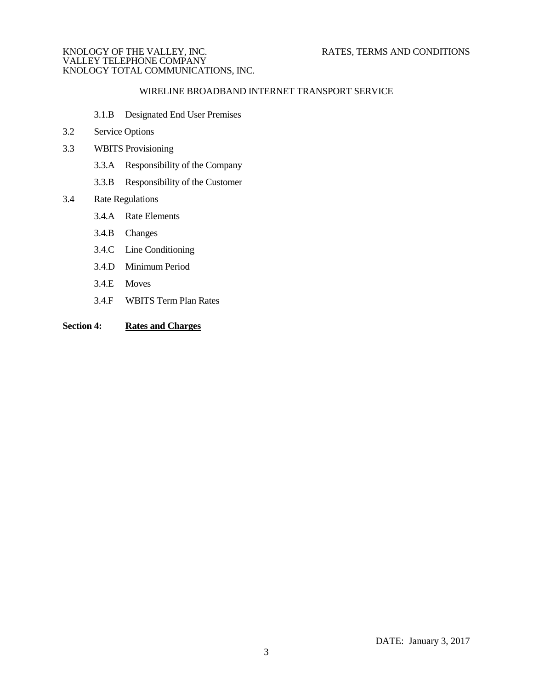# WIRELINE BROADBAND INTERNET TRANSPORT SERVICE

- 3.1.B Designated End User Premises
- 3.2 Service Options
- 3.3 WBITS Provisioning
	- 3.3.A Responsibility of the Company
	- 3.3.B Responsibility of the Customer

# 3.4 Rate Regulations

- 3.4.A Rate Elements
- 3.4.B Changes
- 3.4.C Line Conditioning
- 3.4.D Minimum Period
- 3.4.E Moves
- 3.4.F WBITS Term Plan Rates

# **Section 4: Rates and Charges**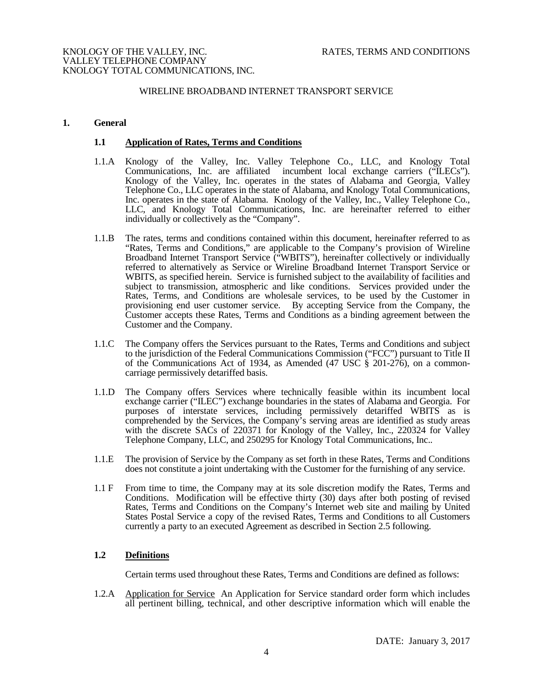#### WIRELINE BROADBAND INTERNET TRANSPORT SERVICE

#### **1. General**

#### **1.1 Application of Rates, Terms and Conditions**

- 1.1.A Knology of the Valley, Inc. Valley Telephone Co., LLC, and Knology Total Communications, Inc. are affiliated incumbent local exchange carriers ("ILECs"). Knology of the Valley, Inc. operates in the states of Alabama and Georgia, Valley Telephone Co., LLC operates in the state of Alabama, and Knology Total Communications, Inc. operates in the state of Alabama. Knology of the Valley, Inc., Valley Telephone Co., LLC, and Knology Total Communications, Inc. are hereinafter referred to either individually or collectively as the "Company".
- 1.1.B The rates, terms and conditions contained within this document, hereinafter referred to as "Rates, Terms and Conditions," are applicable to the Company's provision of Wireline Broadband Internet Transport Service ("WBITS"), hereinafter collectively or individually referred to alternatively as Service or Wireline Broadband Internet Transport Service or WBITS, as specified herein. Service is furnished subject to the availability of facilities and subject to transmission, atmospheric and like conditions. Services provided under the Rates, Terms, and Conditions are wholesale services, to be used by the Customer in provisioning end user customer service. By accepting Service from the Company, the Customer accepts these Rates, Terms and Conditions as a binding agreement between the Customer and the Company.
- 1.1.C The Company offers the Services pursuant to the Rates, Terms and Conditions and subject to the jurisdiction of the Federal Communications Commission ("FCC") pursuant to Title II of the Communications Act of 1934, as Amended (47 USC § 201-276), on a commoncarriage permissively detariffed basis.
- 1.1.D The Company offers Services where technically feasible within its incumbent local exchange carrier ("ILEC") exchange boundaries in the states of Alabama and Georgia. For purposes of interstate services, including permissively detariffed WBITS as is comprehended by the Services, the Company's serving areas are identified as study areas with the discrete SACs of 220371 for Knology of the Valley, Inc., 220324 for Valley Telephone Company, LLC, and 250295 for Knology Total Communications, Inc..
- 1.1.E The provision of Service by the Company as set forth in these Rates, Terms and Conditions does not constitute a joint undertaking with the Customer for the furnishing of any service.
- 1.1 F From time to time, the Company may at its sole discretion modify the Rates, Terms and Conditions. Modification will be effective thirty (30) days after both posting of revised Rates, Terms and Conditions on the Company's Internet web site and mailing by United States Postal Service a copy of the revised Rates, Terms and Conditions to all Customers currently a party to an executed Agreement as described in Section 2.5 following.

# **1.2 Definitions**

Certain terms used throughout these Rates, Terms and Conditions are defined as follows:

1.2.A Application for Service An Application for Service standard order form which includes all pertinent billing, technical, and other descriptive information which will enable the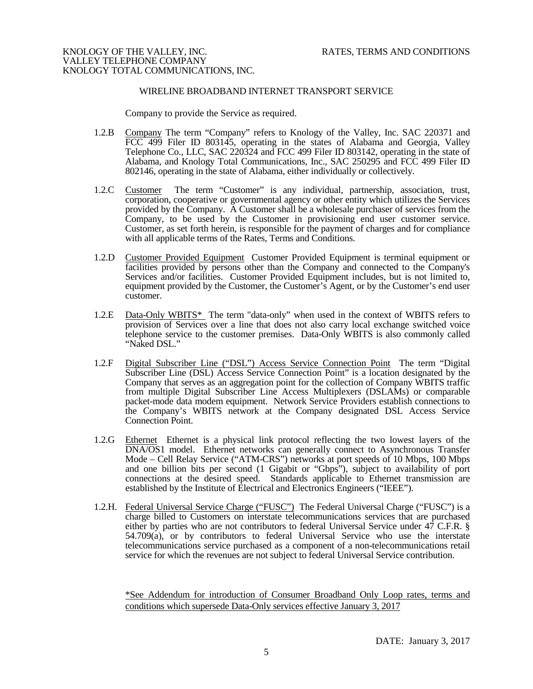#### WIRELINE BROADBAND INTERNET TRANSPORT SERVICE

Company to provide the Service as required.

- 1.2.B Company The term "Company" refers to Knology of the Valley, Inc. SAC 220371 and FCC 499 Filer ID 803145, operating in the states of Alabama and Georgia, Valley Telephone Co., LLC, SAC 220324 and FCC 499 Filer ID 803142, operating in the state of Alabama, and Knology Total Communications, Inc., SAC 250295 and FCC 499 Filer ID 802146, operating in the state of Alabama, either individually or collectively.
- 1.2.C Customer The term "Customer" is any individual, partnership, association, trust, corporation, cooperative or governmental agency or other entity which utilizes the Services provided by the Company. A Customer shall be a wholesale purchaser of services from the Company, to be used by the Customer in provisioning end user customer service. Customer, as set forth herein, is responsible for the payment of charges and for compliance with all applicable terms of the Rates, Terms and Conditions.
- 1.2.D Customer Provided Equipment Customer Provided Equipment is terminal equipment or facilities provided by persons other than the Company and connected to the Company's Services and/or facilities. Customer Provided Equipment includes, but is not limited to, equipment provided by the Customer, the Customer's Agent, or by the Customer's end user customer.
- 1.2.E Data-Only WBITS\* The term "data-only" when used in the context of WBITS refers to provision of Services over a line that does not also carry local exchange switched voice telephone service to the customer premises. Data-Only WBITS is also commonly called "Naked DSL."
- 1.2.F Digital Subscriber Line ("DSL") Access Service Connection Point The term "Digital Subscriber Line (DSL) Access Service Connection Point" is a location designated by the Company that serves as an aggregation point for the collection of Company WBITS traffic from multiple Digital Subscriber Line Access Multiplexers (DSLAMs) or comparable packet-mode data modem equipment. Network Service Providers establish connections to the Company's WBITS network at the Company designated DSL Access Service Connection Point.
- 1.2.G Ethernet Ethernet is a physical link protocol reflecting the two lowest layers of the DNA/OS1 model. Ethernet networks can generally connect to Asynchronous Transfer Mode – Cell Relay Service ("ATM-CRS") networks at port speeds of 10 Mbps, 100 Mbps and one billion bits per second (1 Gigabit or "Gbps"), subject to availability of port connections at the desired speed. Standards applicable to Ethernet transmission are established by the Institute of Electrical and Electronics Engineers ("IEEE").
- 1.2.H. Federal Universal Service Charge ("FUSC") The Federal Universal Charge ("FUSC") is a charge billed to Customers on interstate telecommunications services that are purchased either by parties who are not contributors to federal Universal Service under 47 C.F.R. § 54.709(a), or by contributors to federal Universal Service who use the interstate telecommunications service purchased as a component of a non-telecommunications retail service for which the revenues are not subject to federal Universal Service contribution.

\*See Addendum for introduction of Consumer Broadband Only Loop rates, terms and conditions which supersede Data-Only services effective January 3, 2017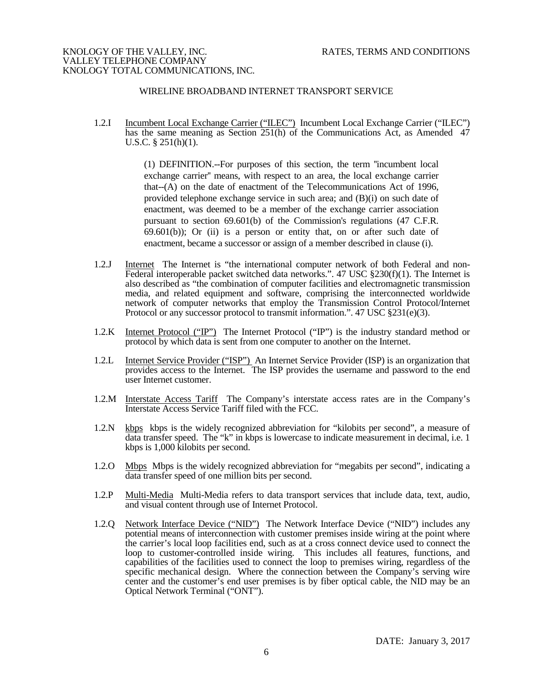# WIRELINE BROADBAND INTERNET TRANSPORT SERVICE

1.2.I Incumbent Local Exchange Carrier ("ILEC") Incumbent Local Exchange Carrier ("ILEC") has the same meaning as Section 251(h) of the Communications Act, as Amended 47 U.S.C. § 251(h)(1).

> (1) DEFINITION.--For purposes of this section, the term ''incumbent local exchange carrier'' means, with respect to an area, the local exchange carrier that--(A) on the date of enactment of the Telecommunications Act of 1996, provided telephone exchange service in such area; and (B)(i) on such date of enactment, was deemed to be a member of the exchange carrier association pursuant to section 69.601(b) of the Commission's regulations (47 C.F.R.  $69.601(b)$ ; Or (ii) is a person or entity that, on or after such date of enactment, became a successor or assign of a member described in clause (i).

- 1.2.J Internet The Internet is "the international computer network of both Federal and non-Federal interoperable packet switched data networks.". 47 USC  $\S 230(f)(1)$ . The Internet is also described as "the combination of computer facilities and electromagnetic transmission media, and related equipment and software, comprising the interconnected worldwide network of computer networks that employ the Transmission Control Protocol/Internet Protocol or any successor protocol to transmit information.".  $47 \text{ USC } \text{\&} 231 \text{(e)} \text{(3)}$ .
- 1.2.K Internet Protocol ("IP") The Internet Protocol ("IP") is the industry standard method or [protocol](http://searchnetworking.techtarget.com/sDefinition/0,,sid7_gci212839,00.html) by which [data](http://searchdatamanagement.techtarget.com/sDefinition/0,,sid91_gci211894,00.html) is sent from one computer to another on the [Internet.](http://searchvb.techtarget.com/sDefinition/0,,sid8_gci212370,00.html)
- 1.2.L Internet Service Provider ("ISP") An Internet Service Provider (ISP) is an organization that provides access to the Internet. The ISP provides the username and password to the end user Internet customer.
- 1.2.M Interstate Access Tariff The Company's interstate access rates are in the Company's Interstate Access Service Tariff filed with the FCC.
- 1.2.N kbps kbps is the widely recognized abbreviation for "kilobits per second", a measure of data transfer speed. The "k" in kbps is lowercase to indicate measurement in decimal, i.e. 1 kbps is 1,000 kilobits per second.
- 1.2.O Mbps Mbps is the widely recognized abbreviation for "megabits per second", indicating a data transfer speed of one million bits per second.
- 1.2.P Multi-Media Multi-Media refers to data transport services that include data, text, audio, and visual content through use of Internet Protocol.
- 1.2.Q Network Interface Device ("NID") The Network Interface Device ("NID") includes any potential means of interconnection with customer premises inside wiring at the point where the carrier's local loop facilities end, such as at a cross connect device used to connect the loop to customer-controlled inside wiring. This includes all features, functions, and capabilities of the facilities used to connect the loop to premises wiring, regardless of the specific mechanical design. Where the connection between the Company's serving wire center and the customer's end user premises is by fiber optical cable, the NID may be an Optical Network Terminal ("ONT").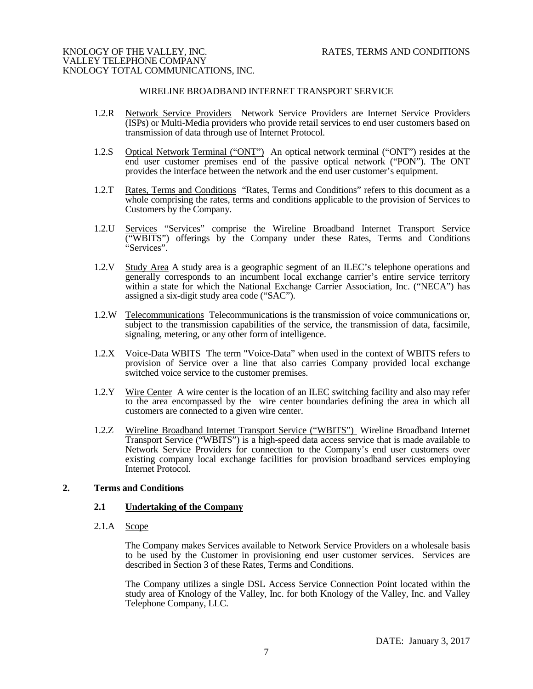# WIRELINE BROADBAND INTERNET TRANSPORT SERVICE

- 1.2.R Network Service Providers Network Service Providers are Internet Service Providers (ISPs) or Multi-Media providers who provide retail services to end user customers based on transmission of data through use of Internet Protocol.
- 1.2.S Optical Network Terminal ("ONT") An optical network terminal ("ONT") resides at the end user customer premises end of the passive optical network ("PON"). The ONT provides the interface between the network and the end user customer's equipment.
- 1.2.T Rates, Terms and Conditions "Rates, Terms and Conditions" refers to this document as a whole comprising the rates, terms and conditions applicable to the provision of Services to Customers by the Company.
- 1.2.U Services "Services" comprise the Wireline Broadband Internet Transport Service ("WBITS") offerings by the Company under these Rates, Terms and Conditions "Services".
- 1.2.V Study Area A study area is a geographic segment of an ILEC's telephone operations and generally corresponds to an incumbent local exchange carrier's entire service territory within a state for which the National Exchange Carrier Association, Inc. ("NECA") has assigned a six-digit study area code ("SAC").
- 1.2.W Telecommunications Telecommunications is the transmission of voice communications or, subject to the transmission capabilities of the service, the transmission of data, facsimile, signaling, metering, or any other form of intelligence.
- 1.2.X Voice-Data WBITS The term "Voice-Data" when used in the context of WBITS refers to provision of Service over a line that also carries Company provided local exchange switched voice service to the customer premises.
- 1.2.Y Wire Center A wire center is the location of an ILEC switching facility and also may refer to the area encompassed by the wire center boundaries defining the area in which all customers are connected to a given wire center.
- 1.2.Z Wireline Broadband Internet Transport Service ("WBITS") Wireline Broadband Internet Transport Service ("WBITS") is a high-speed data access service that is made available to Network Service Providers for connection to the Company's end user customers over existing company local exchange facilities for provision broadband services employing Internet Protocol.

# **2. Terms and Conditions**

## **2.1 Undertaking of the Company**

 $2.1.A$  Scope

The Company makes Services available to Network Service Providers on a wholesale basis to be used by the Customer in provisioning end user customer services. Services are described in Section 3 of these Rates, Terms and Conditions.

The Company utilizes a single DSL Access Service Connection Point located within the study area of Knology of the Valley, Inc. for both Knology of the Valley, Inc. and Valley Telephone Company, LLC.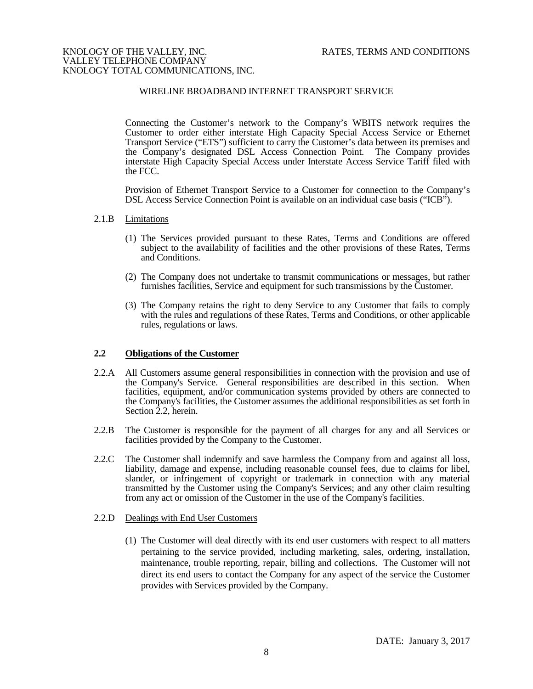# WIRELINE BROADBAND INTERNET TRANSPORT SERVICE

Connecting the Customer's network to the Company's WBITS network requires the Customer to order either interstate High Capacity Special Access Service or Ethernet Transport Service ("ETS") sufficient to carry the Customer's data between its premises and the Company's designated DSL Access Connection Point. The Company provides interstate High Capacity Special Access under Interstate Access Service Tariff filed with the FCC.

Provision of Ethernet Transport Service to a Customer for connection to the Company's DSL Access Service Connection Point is available on an individual case basis ("ICB").

#### 2.1.B Limitations

- (1) The Services provided pursuant to these Rates, Terms and Conditions are offered subject to the availability of facilities and the other provisions of these Rates, Terms and Conditions.
- (2) The Company does not undertake to transmit communications or messages, but rather furnishes facilities, Service and equipment for such transmissions by the Customer.
- (3) The Company retains the right to deny Service to any Customer that fails to comply with the rules and regulations of these Rates, Terms and Conditions, or other applicable rules, regulations or laws.

#### **2.2 Obligations of the Customer**

- 2.2.A All Customers assume general responsibilities in connection with the provision and use of the Company's Service. General responsibilities are described in this section. When facilities, equipment, and/or communication systems provided by others are connected to the Company's facilities, the Customer assumes the additional responsibilities as set forth in Section 2.2, herein.
- 2.2.B The Customer is responsible for the payment of all charges for any and all Services or facilities provided by the Company to the Customer.
- 2.2.C The Customer shall indemnify and save harmless the Company from and against all loss, liability, damage and expense, including reasonable counsel fees, due to claims for libel, slander, or infringement of copyright or trademark in connection with any material transmitted by the Customer using the Company's Services; and any other claim resulting from any act or omission of the Customer in the use of the Company's facilities.

#### 2.2.D Dealings with End User Customers

(1) The Customer will deal directly with its end user customers with respect to all matters pertaining to the service provided, including marketing, sales, ordering, installation, maintenance, trouble reporting, repair, billing and collections. The Customer will not direct its end users to contact the Company for any aspect of the service the Customer provides with Services provided by the Company.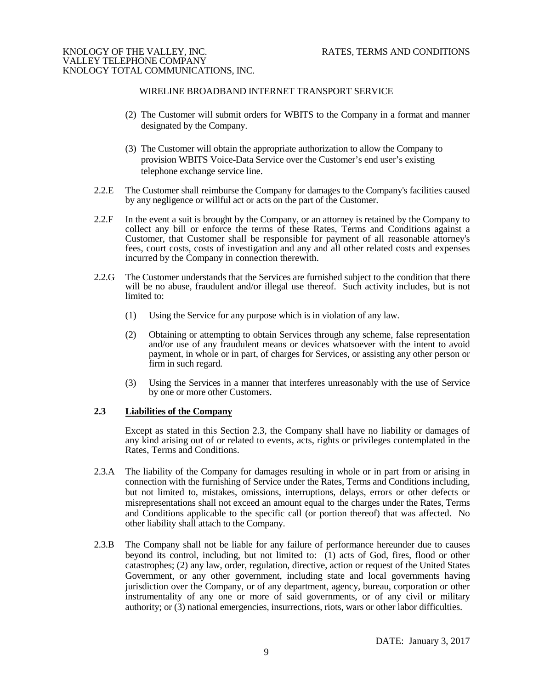# WIRELINE BROADBAND INTERNET TRANSPORT SERVICE

- (2) The Customer will submit orders for WBITS to the Company in a format and manner designated by the Company.
- (3) The Customer will obtain the appropriate authorization to allow the Company to provision WBITS Voice-Data Service over the Customer's end user's existing telephone exchange service line.
- 2.2.E The Customer shall reimburse the Company for damages to the Company's facilities caused by any negligence or willful act or acts on the part of the Customer.
- 2.2.F In the event a suit is brought by the Company, or an attorney is retained by the Company to collect any bill or enforce the terms of these Rates, Terms and Conditions against a Customer, that Customer shall be responsible for payment of all reasonable attorney's fees, court costs, costs of investigation and any and all other related costs and expenses incurred by the Company in connection therewith.
- 2.2.G The Customer understands that the Services are furnished subject to the condition that there will be no abuse, fraudulent and/or illegal use thereof. Such activity includes, but is not limited to:
	- (1) Using the Service for any purpose which is in violation of any law.
	- (2) Obtaining or attempting to obtain Services through any scheme, false representation and/or use of any fraudulent means or devices whatsoever with the intent to avoid payment, in whole or in part, of charges for Services, or assisting any other person or firm in such regard.
	- (3) Using the Services in a manner that interferes unreasonably with the use of Service by one or more other Customers.

# **2.3 Liabilities of the Company**

Except as stated in this Section 2.3, the Company shall have no liability or damages of any kind arising out of or related to events, acts, rights or privileges contemplated in the Rates, Terms and Conditions.

- 2.3.A The liability of the Company for damages resulting in whole or in part from or arising in connection with the furnishing of Service under the Rates, Terms and Conditions including, but not limited to, mistakes, omissions, interruptions, delays, errors or other defects or misrepresentations shall not exceed an amount equal to the charges under the Rates, Terms and Conditions applicable to the specific call (or portion thereof) that was affected. No other liability shall attach to the Company.
- 2.3.B The Company shall not be liable for any failure of performance hereunder due to causes beyond its control, including, but not limited to: (1) acts of God, fires, flood or other catastrophes; (2) any law, order, regulation, directive, action or request of the United States Government, or any other government, including state and local governments having jurisdiction over the Company, or of any department, agency, bureau, corporation or other instrumentality of any one or more of said governments, or of any civil or military authority; or (3) national emergencies, insurrections, riots, wars or other labor difficulties.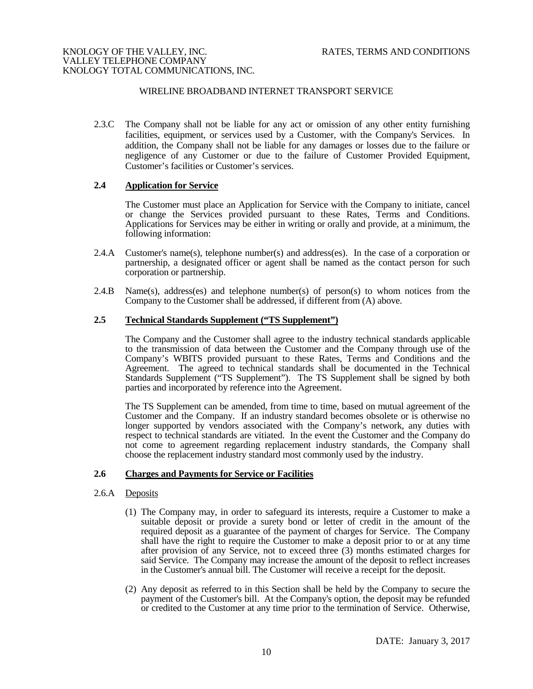# WIRELINE BROADBAND INTERNET TRANSPORT SERVICE

2.3.C The Company shall not be liable for any act or omission of any other entity furnishing facilities, equipment, or services used by a Customer, with the Company's Services. In addition, the Company shall not be liable for any damages or losses due to the failure or negligence of any Customer or due to the failure of Customer Provided Equipment, Customer's facilities or Customer's services.

# **2.4 Application for Service**

The Customer must place an Application for Service with the Company to initiate, cancel or change the Services provided pursuant to these Rates, Terms and Conditions. Applications for Services may be either in writing or orally and provide, at a minimum, the following information:

- 2.4.A Customer's name(s), telephone number(s) and address(es). In the case of a corporation or partnership, a designated officer or agent shall be named as the contact person for such corporation or partnership.
- 2.4.B Name(s), address(es) and telephone number(s) of person(s) to whom notices from the Company to the Customer shall be addressed, if different from (A) above.

#### **2.5 Technical Standards Supplement ("TS Supplement")**

The Company and the Customer shall agree to the industry technical standards applicable to the transmission of data between the Customer and the Company through use of the Company's WBITS provided pursuant to these Rates, Terms and Conditions and the Agreement. The agreed to technical standards shall be documented in the Technical Standards Supplement ("TS Supplement"). The TS Supplement shall be signed by both parties and incorporated by reference into the Agreement.

The TS Supplement can be amended, from time to time, based on mutual agreement of the Customer and the Company. If an industry standard becomes obsolete or is otherwise no longer supported by vendors associated with the Company's network, any duties with respect to technical standards are vitiated. In the event the Customer and the Company do not come to agreement regarding replacement industry standards, the Company shall choose the replacement industry standard most commonly used by the industry.

# **2.6 Charges and Payments for Service or Facilities**

# 2.6.A Deposits

- (1) The Company may, in order to safeguard its interests, require a Customer to make a suitable deposit or provide a surety bond or letter of credit in the amount of the required deposit as a guarantee of the payment of charges for Service. The Company shall have the right to require the Customer to make a deposit prior to or at any time after provision of any Service, not to exceed three (3) months estimated charges for said Service. The Company may increase the amount of the deposit to reflect increases in the Customer's annual bill. The Customer will receive a receipt for the deposit.
- (2) Any deposit as referred to in this Section shall be held by the Company to secure the payment of the Customer's bill. At the Company's option, the deposit may be refunded or credited to the Customer at any time prior to the termination of Service. Otherwise,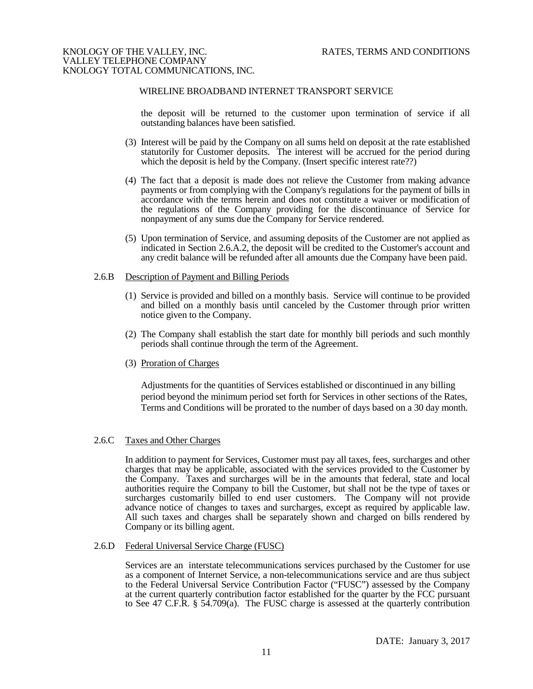#### WIRELINE BROADBAND INTERNET TRANSPORT SERVICE

the deposit will be returned to the customer upon termination of service if all outstanding balances have been satisfied.

- (3) Interest will be paid by the Company on all sums held on deposit at the rate established statutorily for Customer deposits. The interest will be accrued for the period during which the deposit is held by the Company. (Insert specific interest rate??)
- (4) The fact that a deposit is made does not relieve the Customer from making advance payments or from complying with the Company's regulations for the payment of bills in accordance with the terms herein and does not constitute a waiver or modification of the regulations of the Company providing for the discontinuance of Service for nonpayment of any sums due the Company for Service rendered.
- (5) Upon termination of Service, and assuming deposits of the Customer are not applied as indicated in Section 2.6.A.2, the deposit will be credited to the Customer's account and any credit balance will be refunded after all amounts due the Company have been paid.

#### 2.6.B Description of Payment and Billing Periods

- (1) Service is provided and billed on a monthly basis. Service will continue to be provided and billed on a monthly basis until canceled by the Customer through prior written notice given to the Company.
- (2) The Company shall establish the start date for monthly bill periods and such monthly periods shall continue through the term of the Agreement.
- (3) Proration of Charges

Adjustments for the quantities of Services established or discontinued in any billing period beyond the minimum period set forth for Services in other sections of the Rates, Terms and Conditions will be prorated to the number of days based on a 30 day month.

#### 2.6.C Taxes and Other Charges

In addition to payment for Services, Customer must pay all taxes, fees, surcharges and other charges that may be applicable, associated with the services provided to the Customer by the Company. Taxes and surcharges will be in the amounts that federal, state and local authorities require the Company to bill the Customer, but shall not be the type of taxes or surcharges customarily billed to end user customers. The Company will not provide advance notice of changes to taxes and surcharges, except as required by applicable law. All such taxes and charges shall be separately shown and charged on bills rendered by Company or its billing agent.

2.6.D Federal Universal Service Charge (FUSC)

Services are an interstate telecommunications services purchased by the Customer for use as a component of Internet Service, a non-telecommunications service and are thus subject to the Federal Universal Service Contribution Factor ("FUSC") assessed by the Company at the current quarterly contribution factor established for the quarter by the FCC pursuant to See 47 C.F.R. § 54.709(a). The FUSC charge is assessed at the quarterly contribution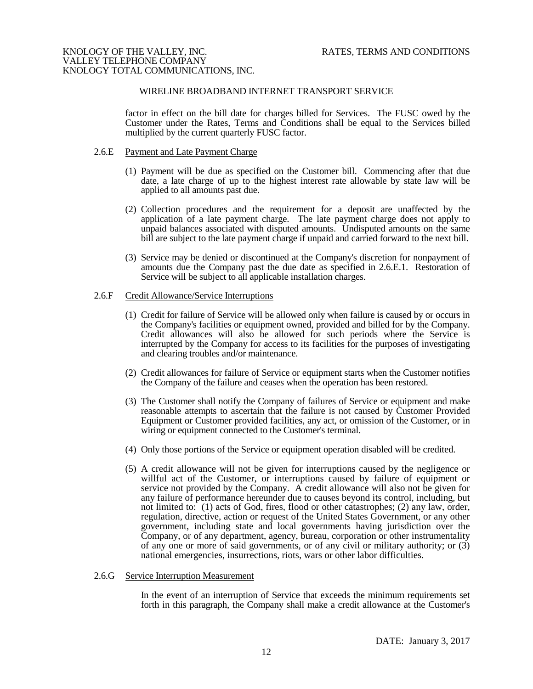#### WIRELINE BROADBAND INTERNET TRANSPORT SERVICE

factor in effect on the bill date for charges billed for Services. The FUSC owed by the Customer under the Rates, Terms and Conditions shall be equal to the Services billed multiplied by the current quarterly FUSC factor.

#### 2.6.E Payment and Late Payment Charge

- (1) Payment will be due as specified on the Customer bill. Commencing after that due date, a late charge of up to the highest interest rate allowable by state law will be applied to all amounts past due.
- (2) Collection procedures and the requirement for a deposit are unaffected by the application of a late payment charge. The late payment charge does not apply to unpaid balances associated with disputed amounts. Undisputed amounts on the same bill are subject to the late payment charge if unpaid and carried forward to the next bill.
- (3) Service may be denied or discontinued at the Company's discretion for nonpayment of amounts due the Company past the due date as specified in 2.6.E.1. Restoration of Service will be subject to all applicable installation charges.

#### 2.6.F Credit Allowance/Service Interruptions

- (1) Credit for failure of Service will be allowed only when failure is caused by or occurs in the Company's facilities or equipment owned, provided and billed for by the Company. Credit allowances will also be allowed for such periods where the Service is interrupted by the Company for access to its facilities for the purposes of investigating and clearing troubles and/or maintenance.
- (2) Credit allowances for failure of Service or equipment starts when the Customer notifies the Company of the failure and ceases when the operation has been restored.
- (3) The Customer shall notify the Company of failures of Service or equipment and make reasonable attempts to ascertain that the failure is not caused by Customer Provided Equipment or Customer provided facilities, any act, or omission of the Customer, or in wiring or equipment connected to the Customer's terminal.
- (4) Only those portions of the Service or equipment operation disabled will be credited.
- (5) A credit allowance will not be given for interruptions caused by the negligence or willful act of the Customer, or interruptions caused by failure of equipment or service not provided by the Company. A credit allowance will also not be given for any failure of performance hereunder due to causes beyond its control, including, but not limited to: (1) acts of God, fires, flood or other catastrophes; (2) any law, order, regulation, directive, action or request of the United States Government, or any other government, including state and local governments having jurisdiction over the Company, or of any department, agency, bureau, corporation or other instrumentality of any one or more of said governments, or of any civil or military authority; or (3) national emergencies, insurrections, riots, wars or other labor difficulties.

#### 2.6.G Service Interruption Measurement

In the event of an interruption of Service that exceeds the minimum requirements set forth in this paragraph, the Company shall make a credit allowance at the Customer's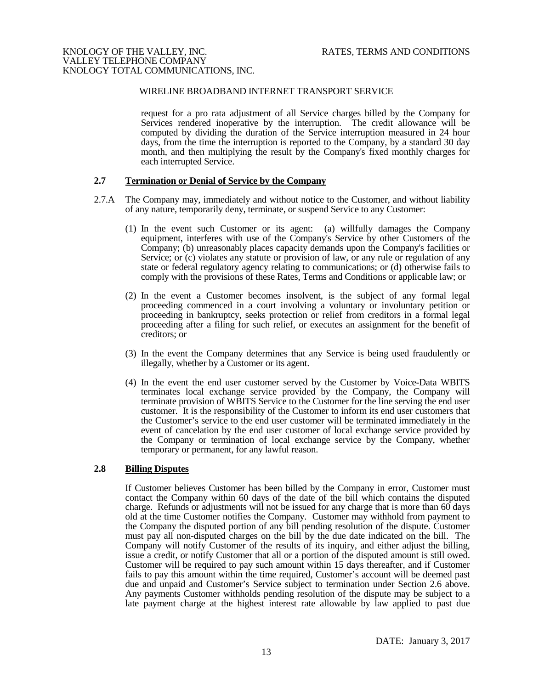# WIRELINE BROADBAND INTERNET TRANSPORT SERVICE

request for a pro rata adjustment of all Service charges billed by the Company for Services rendered inoperative by the interruption. The credit allowance will be computed by dividing the duration of the Service interruption measured in 24 hour days, from the time the interruption is reported to the Company, by a standard 30 day month, and then multiplying the result by the Company's fixed monthly charges for each interrupted Service.

#### **2.7 Termination or Denial of Service by the Company**

- 2.7.A The Company may, immediately and without notice to the Customer, and without liability of any nature, temporarily deny, terminate, or suspend Service to any Customer:
	- (1) In the event such Customer or its agent: (a) willfully damages the Company equipment, interferes with use of the Company's Service by other Customers of the Company; (b) unreasonably places capacity demands upon the Company's facilities or Service; or (c) violates any statute or provision of law, or any rule or regulation of any state or federal regulatory agency relating to communications; or (d) otherwise fails to comply with the provisions of these Rates, Terms and Conditions or applicable law; or
	- (2) In the event a Customer becomes insolvent, is the subject of any formal legal proceeding commenced in a court involving a voluntary or involuntary petition or proceeding in bankruptcy, seeks protection or relief from creditors in a formal legal proceeding after a filing for such relief, or executes an assignment for the benefit of creditors; or
	- (3) In the event the Company determines that any Service is being used fraudulently or illegally, whether by a Customer or its agent.
	- (4) In the event the end user customer served by the Customer by Voice-Data WBITS terminates local exchange service provided by the Company, the Company will terminate provision of WBITS Service to the Customer for the line serving the end user customer. It is the responsibility of the Customer to inform its end user customers that the Customer's service to the end user customer will be terminated immediately in the event of cancelation by the end user customer of local exchange service provided by the Company or termination of local exchange service by the Company, whether temporary or permanent, for any lawful reason.

# **2.8 Billing Disputes**

If Customer believes Customer has been billed by the Company in error, Customer must contact the Company within 60 days of the date of the bill which contains the disputed charge. Refunds or adjustments will not be issued for any charge that is more than 60 days old at the time Customer notifies the Company. Customer may withhold from payment to the Company the disputed portion of any bill pending resolution of the dispute. Customer must pay all non-disputed charges on the bill by the due date indicated on the bill. The Company will notify Customer of the results of its inquiry, and either adjust the billing, issue a credit, or notify Customer that all or a portion of the disputed amount is still owed. Customer will be required to pay such amount within 15 days thereafter, and if Customer fails to pay this amount within the time required, Customer's account will be deemed past due and unpaid and Customer's Service subject to termination under Section 2.6 above. Any payments Customer withholds pending resolution of the dispute may be subject to a late payment charge at the highest interest rate allowable by law applied to past due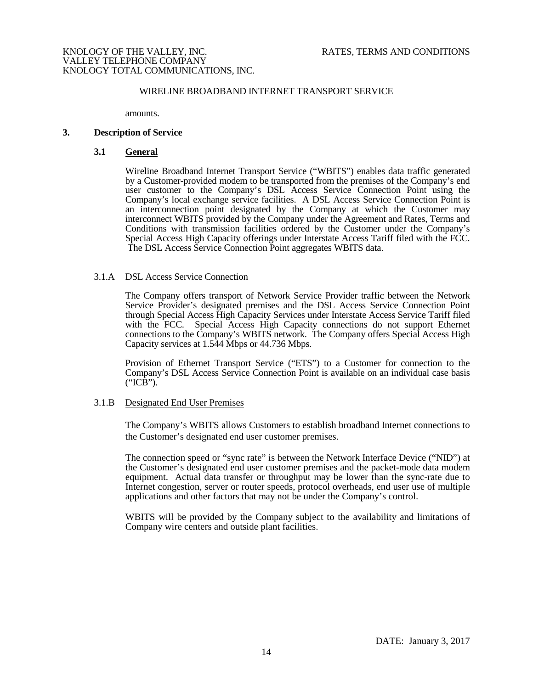# WIRELINE BROADBAND INTERNET TRANSPORT SERVICE

amounts.

#### **3. Description of Service**

#### **3.1 General**

Wireline Broadband Internet Transport Service ("WBITS") enables data traffic generated by a Customer-provided modem to be transported from the premises of the Company's end user customer to the Company's DSL Access Service Connection Point using the Company's local exchange service facilities. A DSL Access Service Connection Point is an interconnection point designated by the Company at which the Customer may interconnect WBITS provided by the Company under the Agreement and Rates, Terms and Conditions with transmission facilities ordered by the Customer under the Company's Special Access High Capacity offerings under Interstate Access Tariff filed with the FCC. The DSL Access Service Connection Point aggregates WBITS data.

#### 3.1.A DSL Access Service Connection

The Company offers transport of Network Service Provider traffic between the Network Service Provider's designated premises and the DSL Access Service Connection Point through Special Access High Capacity Services under Interstate Access Service Tariff filed with the FCC. Special Access High Capacity connections do not support Ethernet connections to the Company's WBITS network. The Company offers Special Access High Capacity services at 1.544 Mbps or 44.736 Mbps.

Provision of Ethernet Transport Service ("ETS") to a Customer for connection to the Company's DSL Access Service Connection Point is available on an individual case basis ("ICB").

#### 3.1.B Designated End User Premises

The Company's WBITS allows Customers to establish broadband Internet connections to the Customer's designated end user customer premises.

The connection speed or "sync rate" is between the Network Interface Device ("NID") at the Customer's designated end user customer premises and the packet-mode data modem equipment. Actual data transfer or throughput may be lower than the sync-rate due to Internet congestion, server or router speeds, protocol overheads, end user use of multiple applications and other factors that may not be under the Company's control.

WBITS will be provided by the Company subject to the availability and limitations of Company wire centers and outside plant facilities.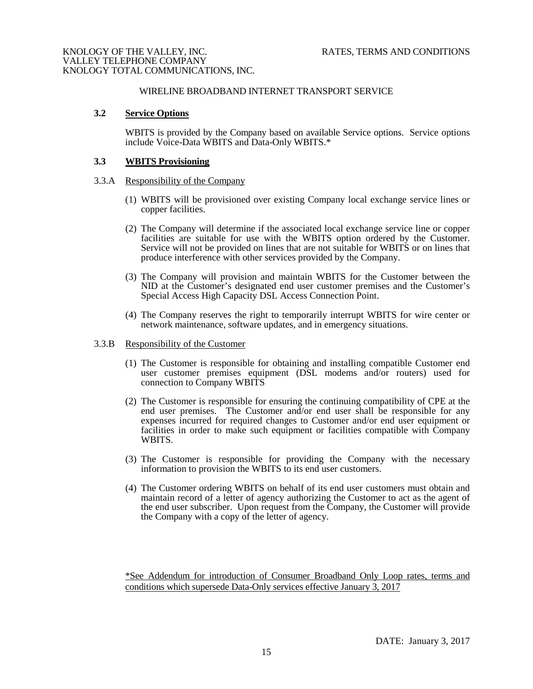# WIRELINE BROADBAND INTERNET TRANSPORT SERVICE

#### **3.2 Service Options**

WBITS is provided by the Company based on available Service options. Service options include Voice-Data WBITS and Data-Only WBITS.\*

#### **3.3 WBITS Provisioning**

#### 3.3.A Responsibility of the Company

- (1) WBITS will be provisioned over existing Company local exchange service lines or copper facilities.
- (2) The Company will determine if the associated local exchange service line or copper facilities are suitable for use with the WBITS option ordered by the Customer. Service will not be provided on lines that are not suitable for WBITS or on lines that produce interference with other services provided by the Company.
- (3) The Company will provision and maintain WBITS for the Customer between the NID at the Customer's designated end user customer premises and the Customer's Special Access High Capacity DSL Access Connection Point.
- (4) The Company reserves the right to temporarily interrupt WBITS for wire center or network maintenance, software updates, and in emergency situations.

#### 3.3.B Responsibility of the Customer

- (1) The Customer is responsible for obtaining and installing compatible Customer end user customer premises equipment (DSL modems and/or routers) used for connection to Company WBITS
- (2) The Customer is responsible for ensuring the continuing compatibility of CPE at the end user premises. The Customer and/or end user shall be responsible for any expenses incurred for required changes to Customer and/or end user equipment or facilities in order to make such equipment or facilities compatible with Company WBITS.
- (3) The Customer is responsible for providing the Company with the necessary information to provision the WBITS to its end user customers.
- (4) The Customer ordering WBITS on behalf of its end user customers must obtain and maintain record of a letter of agency authorizing the Customer to act as the agent of the end user subscriber. Upon request from the Company, the Customer will provide the Company with a copy of the letter of agency.

\*See Addendum for introduction of Consumer Broadband Only Loop rates, terms and conditions which supersede Data-Only services effective January 3, 2017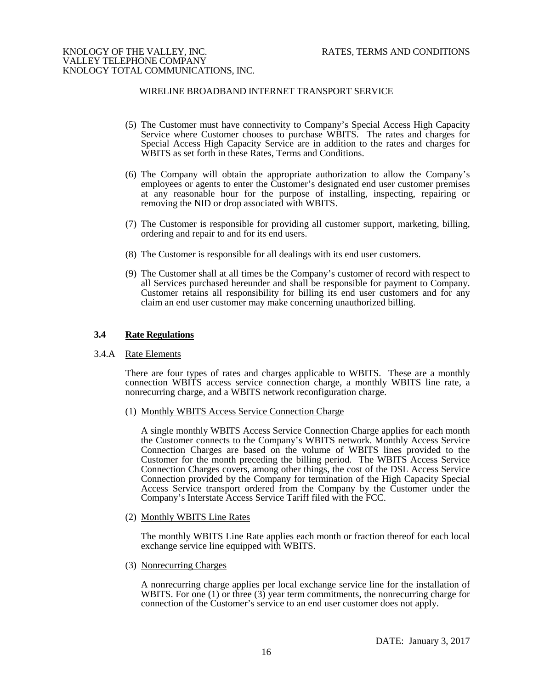## WIRELINE BROADBAND INTERNET TRANSPORT SERVICE

- (5) The Customer must have connectivity to Company's Special Access High Capacity Service where Customer chooses to purchase WBITS. The rates and charges for Special Access High Capacity Service are in addition to the rates and charges for WBITS as set forth in these Rates, Terms and Conditions.
- (6) The Company will obtain the appropriate authorization to allow the Company's employees or agents to enter the Customer's designated end user customer premises at any reasonable hour for the purpose of installing, inspecting, repairing or removing the NID or drop associated with WBITS.
- (7) The Customer is responsible for providing all customer support, marketing, billing, ordering and repair to and for its end users.
- (8) The Customer is responsible for all dealings with its end user customers.
- (9) The Customer shall at all times be the Company's customer of record with respect to all Services purchased hereunder and shall be responsible for payment to Company. Customer retains all responsibility for billing its end user customers and for any claim an end user customer may make concerning unauthorized billing.

# **3.4 Rate Regulations**

#### 3.4.A Rate Elements

There are four types of rates and charges applicable to WBITS. These are a monthly connection WBITS access service connection charge, a monthly WBITS line rate, a nonrecurring charge, and a WBITS network reconfiguration charge.

(1) Monthly WBITS Access Service Connection Charge

A single monthly WBITS Access Service Connection Charge applies for each month the Customer connects to the Company's WBITS network. Monthly Access Service Connection Charges are based on the volume of WBITS lines provided to the Customer for the month preceding the billing period. The WBITS Access Service Connection Charges covers, among other things, the cost of the DSL Access Service Connection provided by the Company for termination of the High Capacity Special Access Service transport ordered from the Company by the Customer under the Company's Interstate Access Service Tariff filed with the FCC.

(2) Monthly WBITS Line Rates

The monthly WBITS Line Rate applies each month or fraction thereof for each local exchange service line equipped with WBITS.

(3) Nonrecurring Charges

A nonrecurring charge applies per local exchange service line for the installation of WBITS. For one (1) or three (3) year term commitments, the nonrecurring charge for connection of the Customer's service to an end user customer does not apply.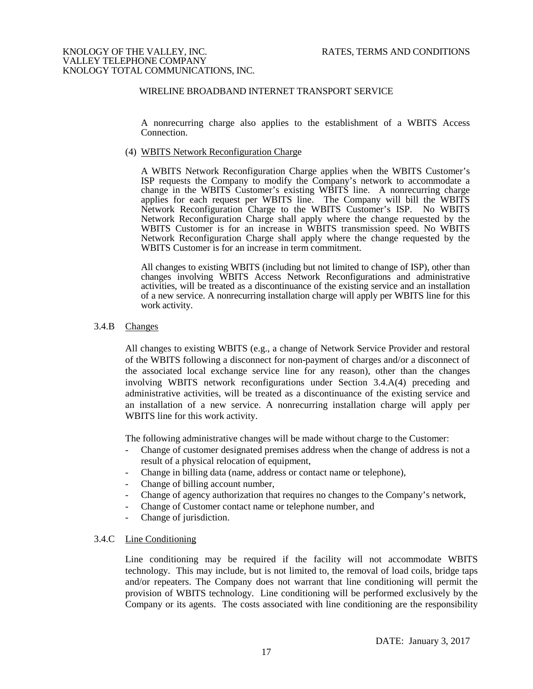# WIRELINE BROADBAND INTERNET TRANSPORT SERVICE

A nonrecurring charge also applies to the establishment of a WBITS Access Connection.

#### (4) WBITS Network Reconfiguration Charge

A WBITS Network Reconfiguration Charge applies when the WBITS Customer's ISP requests the Company to modify the Company's network to accommodate a change in the WBITS Customer's existing WBITS line. A nonrecurring charge applies for each request per WBITS line. The Company will bill the WBITS Network Reconfiguration Charge to the WBITS Customer's ISP. No WBITS Network Reconfiguration Charge shall apply where the change requested by the WBITS Customer is for an increase in WBITS transmission speed. No WBITS Network Reconfiguration Charge shall apply where the change requested by the WBITS Customer is for an increase in term commitment.

All changes to existing WBITS (including but not limited to change of ISP), other than changes involving WBITS Access Network Reconfigurations and administrative activities, will be treated as a discontinuance of the existing service and an installation of a new service. A nonrecurring installation charge will apply per WBITS line for this work activity.

#### 3.4.B Changes

All changes to existing WBITS (e.g., a change of Network Service Provider and restoral of the WBITS following a disconnect for non-payment of charges and/or a disconnect of the associated local exchange service line for any reason), other than the changes involving WBITS network reconfigurations under Section 3.4.A(4) preceding and administrative activities, will be treated as a discontinuance of the existing service and an installation of a new service. A nonrecurring installation charge will apply per WBITS line for this work activity.

The following administrative changes will be made without charge to the Customer:

- Change of customer designated premises address when the change of address is not a result of a physical relocation of equipment,
- Change in billing data (name, address or contact name or telephone),
- Change of billing account number,
- Change of agency authorization that requires no changes to the Company's network,
- Change of Customer contact name or telephone number, and
- Change of jurisdiction.

#### 3.4.C Line Conditioning

Line conditioning may be required if the facility will not accommodate WBITS technology. This may include, but is not limited to, the removal of load coils, bridge taps and/or repeaters. The Company does not warrant that line conditioning will permit the provision of WBITS technology. Line conditioning will be performed exclusively by the Company or its agents. The costs associated with line conditioning are the responsibility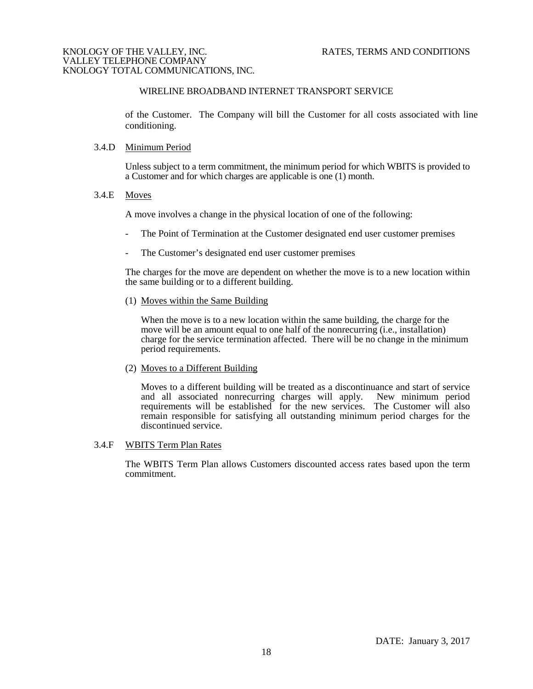# WIRELINE BROADBAND INTERNET TRANSPORT SERVICE

of the Customer. The Company will bill the Customer for all costs associated with line conditioning.

#### 3.4.D Minimum Period

Unless subject to a term commitment, the minimum period for which WBITS is provided to a Customer and for which charges are applicable is one (1) month.

#### 3.4.E Moves

A move involves a change in the physical location of one of the following:

- The Point of Termination at the Customer designated end user customer premises
- The Customer's designated end user customer premises

The charges for the move are dependent on whether the move is to a new location within the same building or to a different building.

(1) Moves within the Same Building

When the move is to a new location within the same building, the charge for the move will be an amount equal to one half of the nonrecurring (i.e., installation) charge for the service termination affected. There will be no change in the minimum period requirements.

# (2) Moves to a Different Building

Moves to a different building will be treated as a discontinuance and start of service and all associated nonrecurring charges will apply. New minimum period and all associated nonrecurring charges will apply. requirements will be established for the new services. The Customer will also remain responsible for satisfying all outstanding minimum period charges for the discontinued service.

# 3.4.F WBITS Term Plan Rates

The WBITS Term Plan allows Customers discounted access rates based upon the term commitment.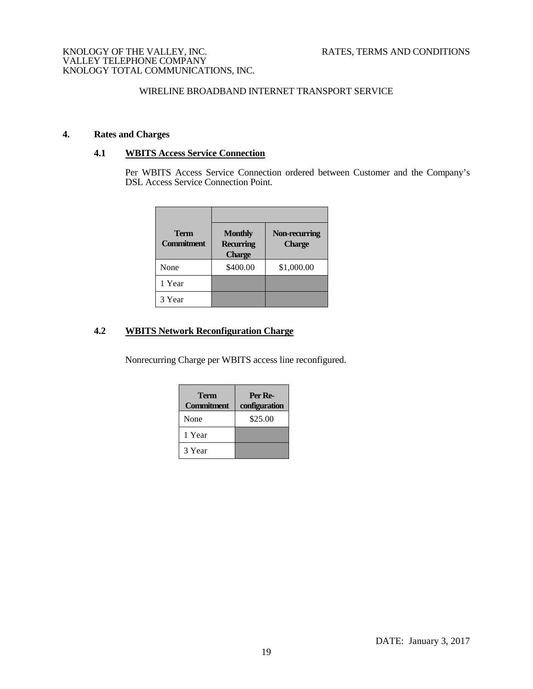# WIRELINE BROADBAND INTERNET TRANSPORT SERVICE

# **4. Rates and Charges**

# **4.1 WBITS Access Service Connection**

Per WBITS Access Service Connection ordered between Customer and the Company's DSL Access Service Connection Point.

| <b>Term</b><br><b>Commitment</b> | <b>Monthly</b><br><b>Recurring</b><br><b>Charge</b> | Non-recurring<br><b>Charge</b> |  |
|----------------------------------|-----------------------------------------------------|--------------------------------|--|
| None                             | \$400.00                                            | \$1,000.00                     |  |
| 1 Year                           |                                                     |                                |  |
| 3 Year                           |                                                     |                                |  |

# **4.2 WBITS Network Reconfiguration Charge**

Nonrecurring Charge per WBITS access line reconfigured.

| Term<br><b>Commitment</b> | Per Re-<br>configuration |
|---------------------------|--------------------------|
| None                      | \$25.00                  |
| 1 Year                    |                          |
| 3 Year                    |                          |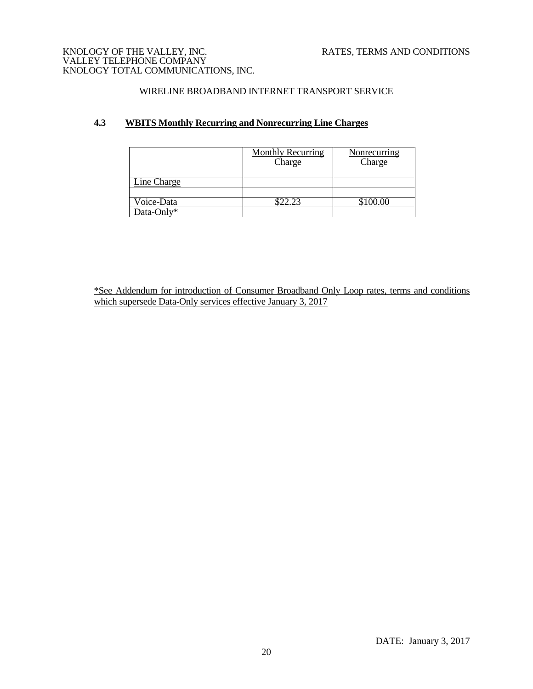# WIRELINE BROADBAND INTERNET TRANSPORT SERVICE

# **4.3 WBITS Monthly Recurring and Nonrecurring Line Charges**

|             | <b>Monthly Recurring</b><br>Charge | Nonrecurring<br>Charge |
|-------------|------------------------------------|------------------------|
| Line Charge |                                    |                        |
| Voice-Data  | \$22.23                            | \$100.00               |
| Data-Only*  |                                    |                        |

\*See Addendum for introduction of Consumer Broadband Only Loop rates, terms and conditions which supersede Data-Only services effective January 3, 2017